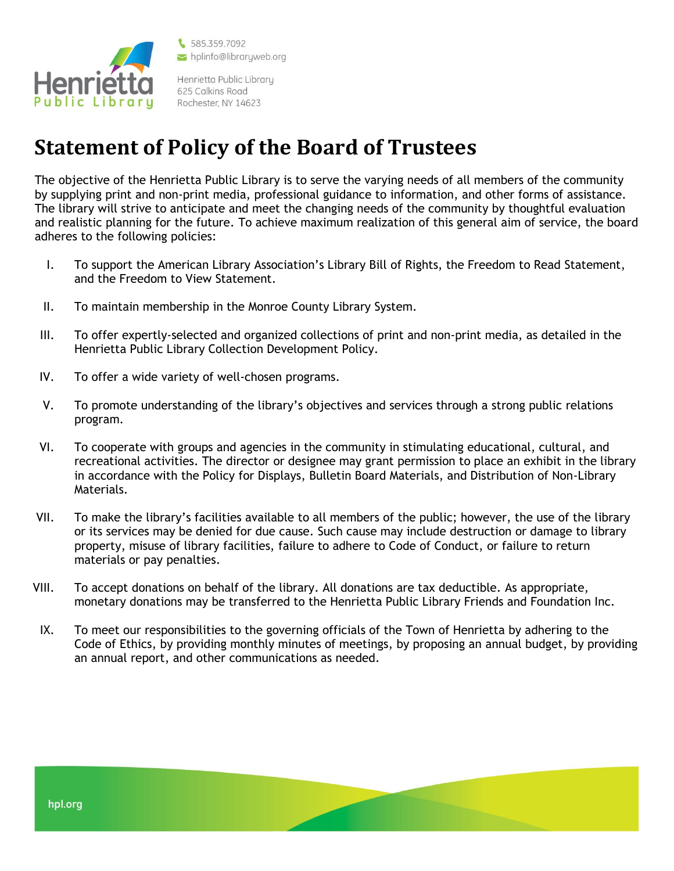

\$585.359.7092 hplinfo@libraryweb.org

Henrietta Public Library 625 Calkins Road Rochester, NY 14623

## **Statement of Policy of the Board of Trustees**

The objective of the Henrietta Public Library is to serve the varying needs of all members of the community by supplying print and non-print media, professional guidance to information, and other forms of assistance. The library will strive to anticipate and meet the changing needs of the community by thoughtful evaluation and realistic planning for the future. To achieve maximum realization of this general aim of service, the board adheres to the following policies:

- I. To support the American Library Association's Library Bill of Rights, the Freedom to Read Statement, and the Freedom to View Statement.
- II. To maintain membership in the Monroe County Library System.
- III. To offer expertly-selected and organized collections of print and non-print media, as detailed in the Henrietta Public Library Collection Development Policy.
- IV. To offer a wide variety of well-chosen programs.
- V. To promote understanding of the library's objectives and services through a strong public relations program.
- VI. To cooperate with groups and agencies in the community in stimulating educational, cultural, and recreational activities. The director or designee may grant permission to place an exhibit in the library in accordance with the Policy for Displays, Bulletin Board Materials, and Distribution of Non-Library Materials.
- VII. To make the library's facilities available to all members of the public; however, the use of the library or its services may be denied for due cause. Such cause may include destruction or damage to library property, misuse of library facilities, failure to adhere to Code of Conduct, or failure to return materials or pay penalties.
- VIII. To accept donations on behalf of the library. All donations are tax deductible. As appropriate, monetary donations may be transferred to the Henrietta Public Library Friends and Foundation Inc.
- IX. To meet our responsibilities to the governing officials of the Town of Henrietta by adhering to the Code of Ethics, by providing monthly minutes of meetings, by proposing an annual budget, by providing an annual report, and other communications as needed.